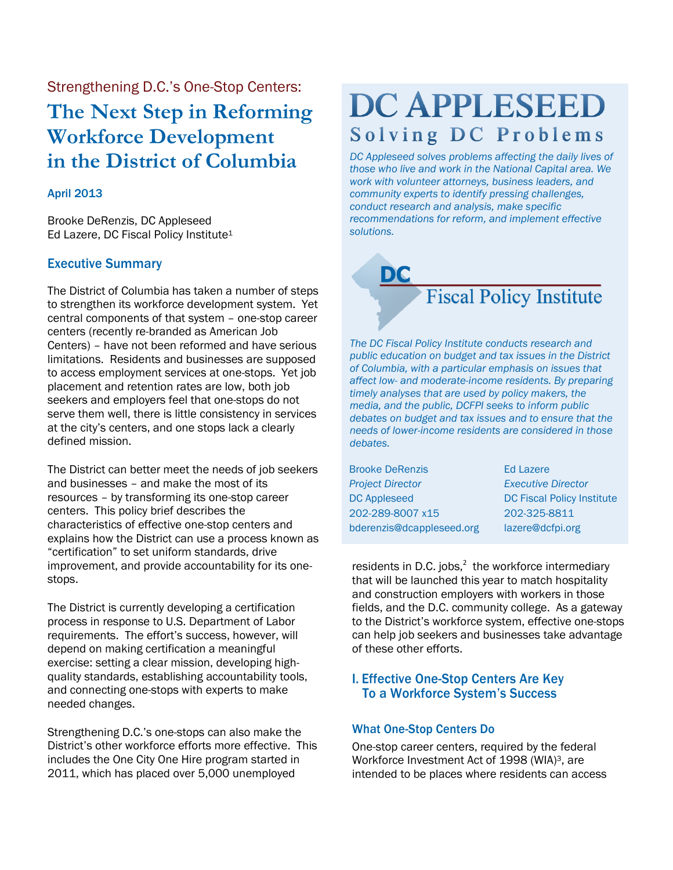Strengthening D.C.'s One-Stop Centers: **The Next Step in Reforming Workforce Development in the District of Columbia**

## April 2013

Brooke DeRenzis, DC Appleseed Ed Lazere, DC Fiscal Policy Institute<sup>1</sup>

# Executive Summary

The District of Columbia has taken a number of steps to strengthen its workforce development system. Yet central components of that system – one-stop career centers (recently re-branded as American Job Centers) – have not been reformed and have serious limitations. Residents and businesses are supposed to access employment services at one-stops. Yet job placement and retention rates are low, both job seekers and employers feel that one-stops do not serve them well, there is little consistency in services at the city's centers, and one stops lack a clearly defined mission.

The District can better meet the needs of job seekers and businesses – and make the most of its resources – by transforming its one-stop career centers. This policy brief describes the characteristics of effective one-stop centers and explains how the District can use a process known as "certification" to set uniform standards, drive improvement, and provide accountability for its onestops.

The District is currently developing a certification process in response to U.S. Department of Labor requirements. The effort's success, however, will depend on making certification a meaningful exercise: setting a clear mission, developing highquality standards, establishing accountability tools, and connecting one-stops with experts to make needed changes.

Strengthening D.C.'s one-stops can also make the District's other workforce efforts more effective. This includes the One City One Hire program started in 2011, which has placed over 5,000 unemployed

# **DC APPLESEED** Solving DC Problems

*DC Appleseed solves problems affecting the daily lives of those who live and work in the National Capital area. We work with volunteer attorneys, business leaders, and community experts to identify pressing challenges, conduct research and analysis, make specific recommendations for reform, and implement effective solutions.* 



*The DC Fiscal Policy Institute conducts research and public education on budget and tax issues in the District of Columbia, with a particular emphasis on issues that affect low- and moderate-income residents. By preparing timely analyses that are used by policy makers, the media, and the public, DCFPI seeks to inform public debates on budget and tax issues and to ensure that the needs of lower-income residents are considered in those debates.*

| <b>Brooke DeRenzis</b>    | <b>Ed Lazere</b>              |
|---------------------------|-------------------------------|
| <b>Project Director</b>   | <b>Executive Director</b>     |
| <b>DC Appleseed</b>       | <b>DC Fiscal Policy Insti</b> |
| 202-289-8007 x15          | 202-325-8811                  |
| bderenzis@dcappleseed.org | lazere@dcfpi.org              |

tute

residents in D.C. jobs, $^2$  the workforce intermediary that will be launched this year to match hospitality and construction employers with workers in those fields, and the D.C. community college. As a gateway to the District's workforce system, effective one-stops can help job seekers and businesses take advantage of these other efforts.

# I. Effective One-Stop Centers Are Key To a Workforce System's Success

## What One-Stop Centers Do

One-stop career centers, required by the federal Workforce Investment Act of 1998 (WIA)3, are intended to be places where residents can access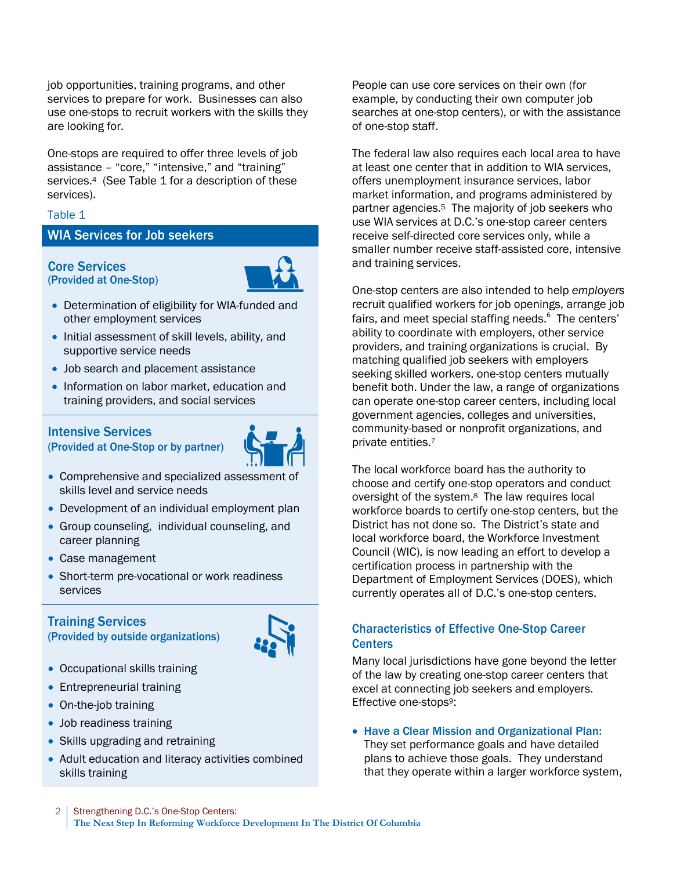job opportunities, training programs, and other services to prepare for work. Businesses can also use one-stops to recruit workers with the skills they are looking for.

One-stops are required to offer three levels of job assistance – "core," "intensive," and "training" services. <sup>4</sup> (See Table 1 for a description of these services).

## Table 1

## WIA Services for Job seekers

### Core Services (Provided at One-Stop)



- Determination of eligibility for WIA-funded and other employment services
- Initial assessment of skill levels, ability, and supportive service needs
- Job search and placement assistance
- Information on labor market, education and training providers, and social services

# Intensive Services

(Provided at One-Stop or by partner)



- Comprehensive and specialized assessment of skills level and service needs
- Development of an individual employment plan
- Group counseling, individual counseling, and career planning
- Case management
- Short-term pre-vocational or work readiness services

# Training Services

(Provided by outside organizations)



- Occupational skills training
- Entrepreneurial training
- On-the-job training
- Job readiness training
- Skills upgrading and retraining
- Adult education and literacy activities combined skills training

People can use core services on their own (for example, by conducting their own computer job searches at one-stop centers), or with the assistance of one-stop staff.

The federal law also requires each local area to have at least one center that in addition to WIA services, offers unemployment insurance services, labor market information, and programs administered by partner agencies. <sup>5</sup> The majority of job seekers who use WIA services at D.C.'s one-stop career centers receive self-directed core services only, while a smaller number receive staff-assisted core, intensive and training services.

One-stop centers are also intended to help *employers* recruit qualified workers for job openings, arrange job fairs, and meet special staffing needs.<sup>6</sup> The centers' ability to coordinate with employers, other service providers, and training organizations is crucial. By matching qualified job seekers with employers seeking skilled workers, one-stop centers mutually benefit both. Under the law, a range of organizations can operate one-stop career centers, including local government agencies, colleges and universities, community-based or nonprofit organizations, and private entities.<sup>7</sup>

The local workforce board has the authority to choose and certify one-stop operators and conduct oversight of the system. <sup>8</sup> The law requires local workforce boards to certify one-stop centers, but the District has not done so. The District's state and local workforce board, the Workforce Investment Council (WIC), is now leading an effort to develop a certification process in partnership with the Department of Employment Services (DOES), which currently operates all of D.C.'s one-stop centers.

# Characteristics of Effective One-Stop Career **Centers**

Many local jurisdictions have gone beyond the letter of the law by creating one-stop career centers that excel at connecting job seekers and employers. Effective one-stops9:

 Have a Clear Mission and Organizational Plan: They set performance goals and have detailed plans to achieve those goals. They understand that they operate within a larger workforce system,

2 | Strengthening D.C.'s One-Stop Centers: **The Next Step In Reforming Workforce Development In The District Of Columbia**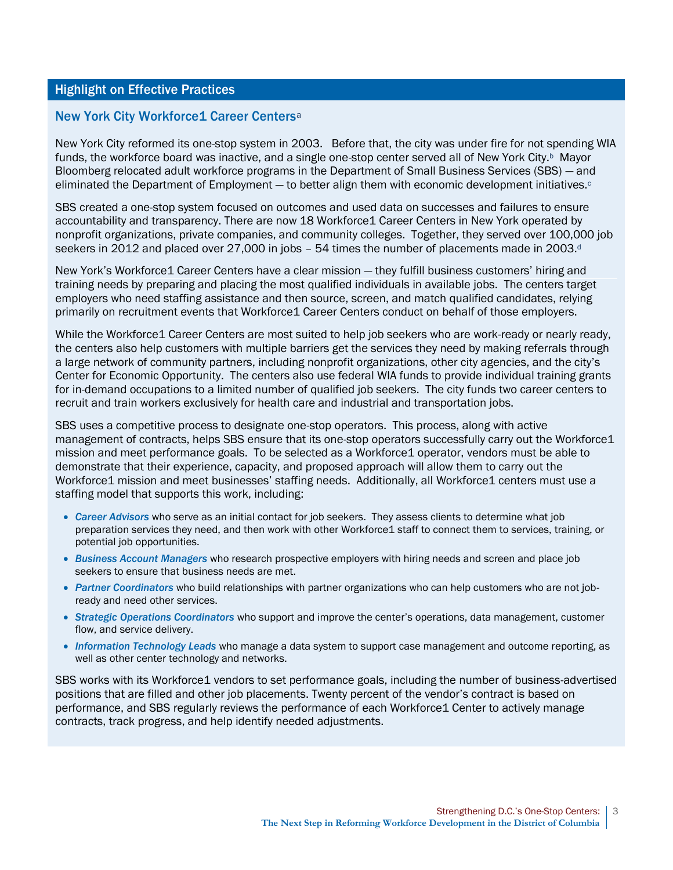## Highlight on Effective Practices

## New York City Workforce1 Career Centers<sup>a</sup>

New York City reformed its one-stop system in 2003. Before that, the city was under fire for not spending WIA funds, the workforce board was inactive, and a single one-stop center served all of New York City.<sup>b</sup> Mayor Bloomberg relocated adult workforce programs in the Department of Small Business Services (SBS) — and eliminated the Department of Employment  $-$  to better align them with economic development initiatives. $\circ$ 

SBS created a one-stop system focused on outcomes and used data on successes and failures to ensure accountability and transparency. There are now 18 Workforce1 Career Centers in New York operated by nonprofit organizations, private companies, and community colleges. Together, they served over 100,000 job seekers in 2012 and placed over 27,000 in jobs - 54 times the number of placements made in 2003.<sup>d</sup>

New York's Workforce1 Career Centers have a clear mission — they fulfill business customers' hiring and training needs by preparing and placing the most qualified individuals in available jobs. The centers target employers who need staffing assistance and then source, screen, and match qualified candidates, relying primarily on recruitment events that Workforce1 Career Centers conduct on behalf of those employers.

While the Workforce1 Career Centers are most suited to help job seekers who are work-ready or nearly ready, the centers also help customers with multiple barriers get the services they need by making referrals through a large network of community partners, including nonprofit organizations, other city agencies, and the city's Center for Economic Opportunity. The centers also use federal WIA funds to provide individual training grants for in-demand occupations to a limited number of qualified job seekers. The city funds two career centers to recruit and train workers exclusively for health care and industrial and transportation jobs.

SBS uses a competitive process to designate one-stop operators. This process, along with active management of contracts, helps SBS ensure that its one-stop operators successfully carry out the Workforce1 mission and meet performance goals. To be selected as a Workforce1 operator, vendors must be able to demonstrate that their experience, capacity, and proposed approach will allow them to carry out the Workforce1 mission and meet businesses' staffing needs. Additionally, all Workforce1 centers must use a staffing model that supports this work, including:

- *Career Advisors* who serve as an initial contact for job seekers. They assess clients to determine what job preparation services they need, and then work with other Workforce1 staff to connect them to services, training, or potential job opportunities.
- *Business Account Managers* who research prospective employers with hiring needs and screen and place job seekers to ensure that business needs are met.
- *Partner Coordinators* who build relationships with partner organizations who can help customers who are not jobready and need other services.
- *Strategic Operations Coordinators* who support and improve the center's operations, data management, customer flow, and service delivery.
- *Information Technology Leads* who manage a data system to support case management and outcome reporting, as well as other center technology and networks.

SBS works with its Workforce1 vendors to set performance goals, including the number of business-advertised positions that are filled and other job placements. Twenty percent of the vendor's contract is based on performance, and SBS regularly reviews the performance of each Workforce1 Center to actively manage contracts, track progress, and help identify needed adjustments.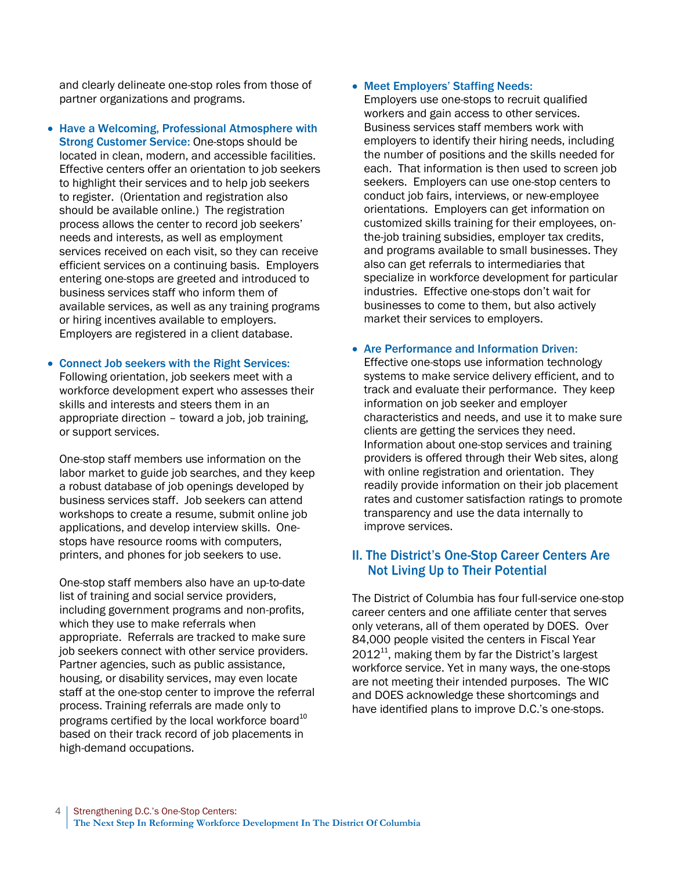and clearly delineate one-stop roles from those of partner organizations and programs.

• Have a Welcoming, Professional Atmosphere with Strong Customer Service: One-stops should be located in clean, modern, and accessible facilities. Effective centers offer an orientation to job seekers to highlight their services and to help job seekers to register. (Orientation and registration also should be available online.) The registration process allows the center to record job seekers' needs and interests, as well as employment services received on each visit, so they can receive efficient services on a continuing basis. Employers entering one-stops are greeted and introduced to business services staff who inform them of available services, as well as any training programs or hiring incentives available to employers. Employers are registered in a client database.

# Connect Job seekers with the Right Services:

Following orientation, job seekers meet with a workforce development expert who assesses their skills and interests and steers them in an appropriate direction – toward a job, job training, or support services.

One-stop staff members use information on the labor market to guide job searches, and they keep a robust database of job openings developed by business services staff. Job seekers can attend workshops to create a resume, submit online job applications, and develop interview skills. Onestops have resource rooms with computers, printers, and phones for job seekers to use.

One-stop staff members also have an up-to-date list of training and social service providers, including government programs and non-profits, which they use to make referrals when appropriate. Referrals are tracked to make sure job seekers connect with other service providers. Partner agencies, such as public assistance, housing, or disability services, may even locate staff at the one-stop center to improve the referral process. Training referrals are made only to programs certified by the local workforce board<sup>10</sup> based on their track record of job placements in high-demand occupations.

## • Meet Employers' Staffing Needs:

Employers use one-stops to recruit qualified workers and gain access to other services. Business services staff members work with employers to identify their hiring needs, including the number of positions and the skills needed for each. That information is then used to screen job seekers. Employers can use one-stop centers to conduct job fairs, interviews, or new-employee orientations. Employers can get information on customized skills training for their employees, onthe-job training subsidies, employer tax credits, and programs available to small businesses. They also can get referrals to intermediaries that specialize in workforce development for particular industries. Effective one-stops don't wait for businesses to come to them, but also actively market their services to employers.

## Are Performance and Information Driven:

Effective one-stops use information technology systems to make service delivery efficient, and to track and evaluate their performance. They keep information on job seeker and employer characteristics and needs, and use it to make sure clients are getting the services they need. Information about one-stop services and training providers is offered through their Web sites, along with online registration and orientation. They readily provide information on their job placement rates and customer satisfaction ratings to promote transparency and use the data internally to improve services.

# II. The District's One-Stop Career Centers Are Not Living Up to Their Potential

The District of Columbia has four full-service one-stop career centers and one affiliate center that serves only veterans, all of them operated by DOES. Over 84,000 people visited the centers in Fiscal Year  $2012<sup>11</sup>$ , making them by far the District's largest workforce service. Yet in many ways, the one-stops are not meeting their intended purposes. The WIC and DOES acknowledge these shortcomings and have identified plans to improve D.C.'s one-stops.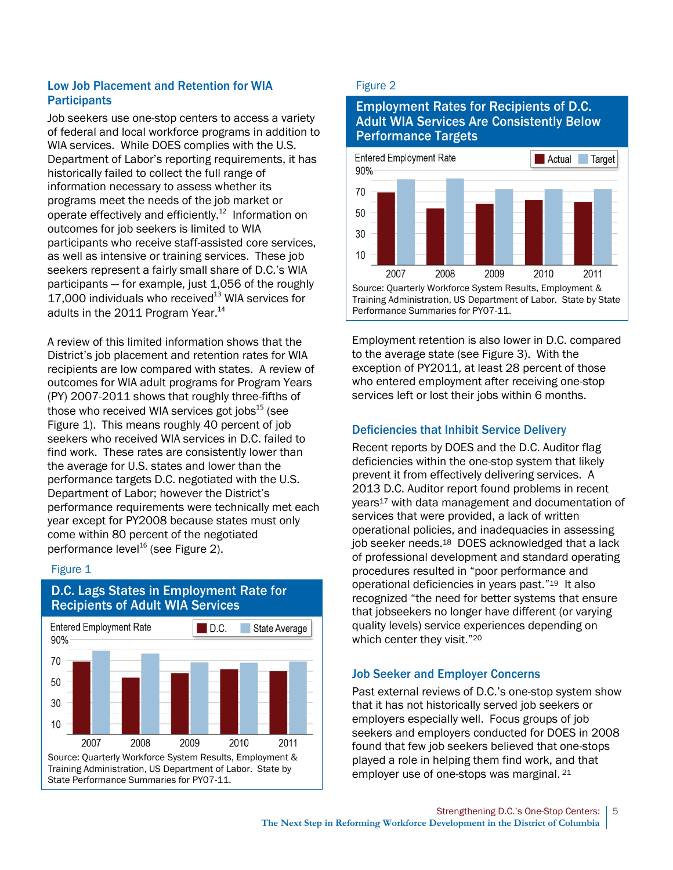# Low Job Placement and Retention for WIA **Participants**

Job seekers use one-stop centers to access a variety of federal and local workforce programs in addition to WIA services. While DOES complies with the U.S. Department of Labor's reporting requirements, it has historically failed to collect the full range of information necessary to assess whether its programs meet the needs of the job market or operate effectively and efficiently.<sup>12</sup> Information on outcomes for job seekers is limited to WIA participants who receive staff-assisted core services, as well as intensive or training services. These job seekers represent a fairly small share of D.C.'s WIA participants — for example, just 1,056 of the roughly 17,000 individuals who received $13$  WIA services for adults in the 2011 Program Year.<sup>14</sup>

A review of this limited information shows that the District's job placement and retention rates for WIA recipients are low compared with states. A review of outcomes for WIA adult programs for Program Years (PY) 2007-2011 shows that roughly three-fifths of those who received WIA services got jobs $^{15}$  (see Figure 1). This means roughly 40 percent of job seekers who received WIA services in D.C. failed to find work. These rates are consistently lower than the average for U.S. states and lower than the performance targets D.C. negotiated with the U.S. Department of Labor; however the District's performance requirements were technically met each year except for PY2008 because states must only come within 80 percent of the negotiated performance level $^{16}$  (see Figure 2).

## Figure 1



# D.C. Lags States in Employment Rate for Recipients of Adult WIA Services

## Figure 2

# Employment Rates for Recipients of D.C. Adult WIA Services Are Consistently Below Performance Targets



Employment retention is also lower in D.C. compared to the average state (see Figure 3). With the exception of PY2011, at least 28 percent of those who entered employment after receiving one-stop services left or lost their jobs within 6 months.

# Deficiencies that Inhibit Service Delivery

Recent reports by DOES and the D.C. Auditor flag deficiencies within the one-stop system that likely prevent it from effectively delivering services. A 2013 D.C. Auditor report found problems in recent years<sup>17</sup> with data management and documentation of services that were provided, a lack of written operational policies, and inadequacies in assessing job seeker needs.<sup>18</sup> DOES acknowledged that a lack of professional development and standard operating procedures resulted in "poor performance and operational deficiencies in years past."19 It also recognized "the need for better systems that ensure that jobseekers no longer have different (or varying quality levels) service experiences depending on which center they visit."<sup>20</sup>

# Job Seeker and Employer Concerns

Past external reviews of D.C.'s one-stop system show that it has not historically served job seekers or employers especially well. Focus groups of job seekers and employers conducted for DOES in 2008 found that few job seekers believed that one-stops played a role in helping them find work, and that employer use of one-stops was marginal. <sup>21</sup>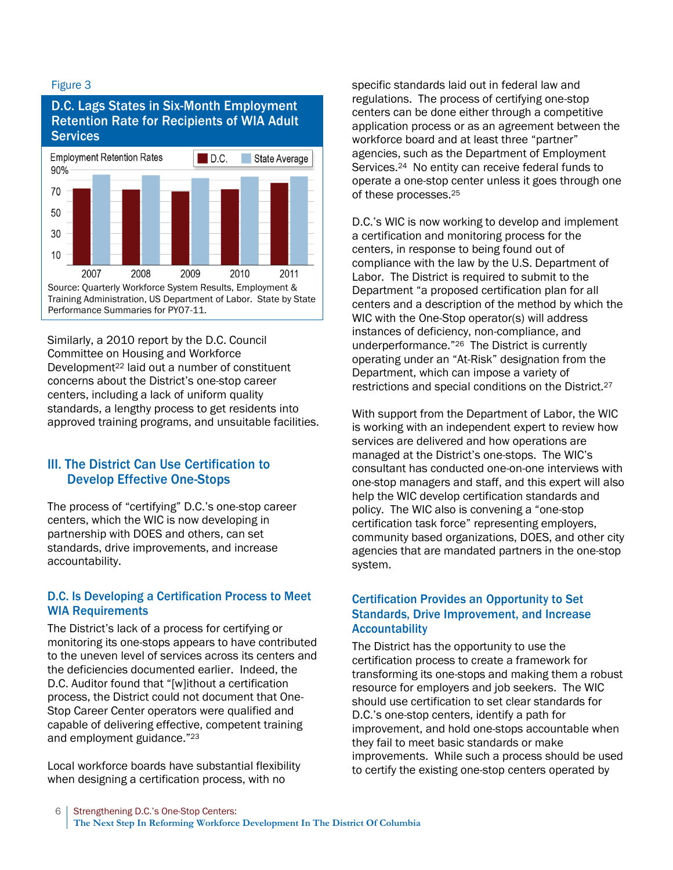## Figure 3

# D.C. Lags States in Six-Month Employment Retention Rate for Recipients of WIA Adult **Services**



Similarly, a 2010 report by the D.C. Council Committee on Housing and Workforce Development<sup>22</sup> laid out a number of constituent concerns about the District's one-stop career centers, including a lack of uniform quality standards, a lengthy process to get residents into approved training programs, and unsuitable facilities.

# III. The District Can Use Certification to Develop Effective One-Stops

The process of "certifying" D.C.'s one-stop career centers, which the WIC is now developing in partnership with DOES and others, can set standards, drive improvements, and increase accountability.

# D.C. Is Developing a Certification Process to Meet WIA Requirements

The District's lack of a process for certifying or monitoring its one-stops appears to have contributed to the uneven level of services across its centers and the deficiencies documented earlier. Indeed, the D.C. Auditor found that "[w]ithout a certification process, the District could not document that One-Stop Career Center operators were qualified and capable of delivering effective, competent training and employment guidance."<sup>23</sup>

Local workforce boards have substantial flexibility when designing a certification process, with no

specific standards laid out in federal law and regulations. The process of certifying one-stop centers can be done either through a competitive application process or as an agreement between the workforce board and at least three "partner" agencies, such as the Department of Employment Services.24 No entity can receive federal funds to operate a one-stop center unless it goes through one of these processes.<sup>25</sup>

D.C.'s WIC is now working to develop and implement a certification and monitoring process for the centers, in response to being found out of compliance with the law by the U.S. Department of Labor. The District is required to submit to the Department "a proposed certification plan for all centers and a description of the method by which the WIC with the One-Stop operator(s) will address instances of deficiency, non-compliance, and underperformance."26 The District is currently operating under an "At-Risk" designation from the Department, which can impose a variety of restrictions and special conditions on the District.<sup>27</sup>

With support from the Department of Labor, the WIC is working with an independent expert to review how services are delivered and how operations are managed at the District's one-stops. The WIC's consultant has conducted one-on-one interviews with one-stop managers and staff, and this expert will also help the WIC develop certification standards and policy. The WIC also is convening a "one-stop certification task force" representing employers, community based organizations, DOES, and other city agencies that are mandated partners in the one-stop system.

# Certification Provides an Opportunity to Set Standards, Drive Improvement, and Increase Accountability

The District has the opportunity to use the certification process to create a framework for transforming its one-stops and making them a robust resource for employers and job seekers. The WIC should use certification to set clear standards for D.C.'s one-stop centers, identify a path for improvement, and hold one-stops accountable when they fail to meet basic standards or make improvements. While such a process should be used to certify the existing one-stop centers operated by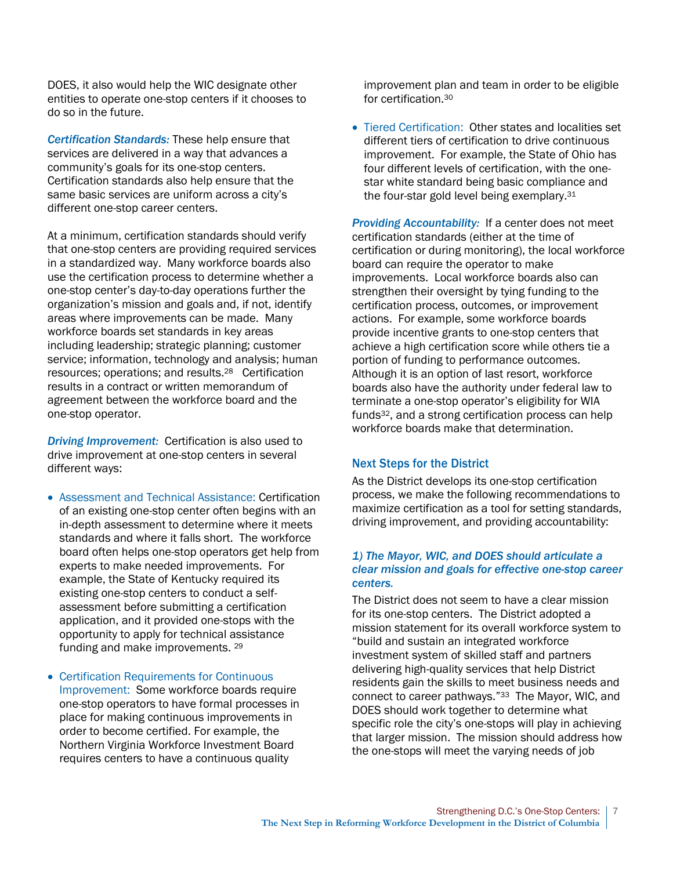DOES, it also would help the WIC designate other entities to operate one-stop centers if it chooses to do so in the future.

*Certification Standards:* These help ensure that services are delivered in a way that advances a community's goals for its one-stop centers. Certification standards also help ensure that the same basic services are uniform across a city's different one-stop career centers.

At a minimum, certification standards should verify that one-stop centers are providing required services in a standardized way. Many workforce boards also use the certification process to determine whether a one-stop center's day-to-day operations further the organization's mission and goals and, if not, identify areas where improvements can be made. Many workforce boards set standards in key areas including leadership; strategic planning; customer service; information, technology and analysis; human resources; operations; and results. <sup>28</sup> Certification results in a contract or written memorandum of agreement between the workforce board and the one-stop operator.

*Driving Improvement:* Certification is also used to drive improvement at one-stop centers in several different ways:

- Assessment and Technical Assistance: Certification of an existing one-stop center often begins with an in-depth assessment to determine where it meets standards and where it falls short. The workforce board often helps one-stop operators get help from experts to make needed improvements. For example, the State of Kentucky required its existing one-stop centers to conduct a selfassessment before submitting a certification application, and it provided one-stops with the opportunity to apply for technical assistance funding and make improvements. <sup>29</sup>
- Certification Requirements for Continuous Improvement: Some workforce boards require one-stop operators to have formal processes in place for making continuous improvements in order to become certified. For example, the Northern Virginia Workforce Investment Board requires centers to have a continuous quality

improvement plan and team in order to be eligible for certification.<sup>30</sup>

 Tiered Certification: Other states and localities set different tiers of certification to drive continuous improvement. For example, the State of Ohio has four different levels of certification, with the onestar white standard being basic compliance and the four-star gold level being exemplary.<sup>31</sup>

*Providing Accountability:* If a center does not meet certification standards (either at the time of certification or during monitoring), the local workforce board can require the operator to make improvements. Local workforce boards also can strengthen their oversight by tying funding to the certification process, outcomes, or improvement actions. For example, some workforce boards provide incentive grants to one-stop centers that achieve a high certification score while others tie a portion of funding to performance outcomes. Although it is an option of last resort, workforce boards also have the authority under federal law to terminate a one-stop operator's eligibility for WIA funds32, and a strong certification process can help workforce boards make that determination.

## Next Steps for the District

As the District develops its one-stop certification process, we make the following recommendations to maximize certification as a tool for setting standards, driving improvement, and providing accountability:

## *1) The Mayor, WIC, and DOES should articulate a clear mission and goals for effective one-stop career centers.*

The District does not seem to have a clear mission for its one-stop centers. The District adopted a mission statement for its overall workforce system to "build and sustain an integrated workforce investment system of skilled staff and partners delivering high-quality services that help District residents gain the skills to meet business needs and connect to career pathways."33 The Mayor, WIC, and DOES should work together to determine what specific role the city's one-stops will play in achieving that larger mission. The mission should address how the one-stops will meet the varying needs of job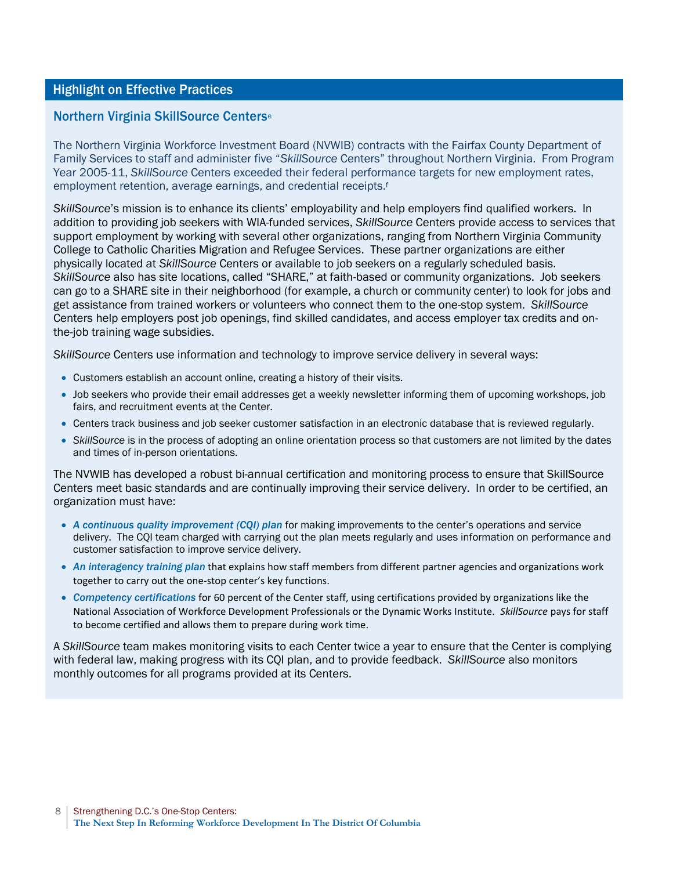## Highlight on Effective Practices

## Northern Virginia SkillSource Centers<sup>e</sup>

The Northern Virginia Workforce Investment Board (NVWIB) contracts with the Fairfax County Department of Family Services to staff and administer five "*SkillSource* Centers" throughout Northern Virginia. From Program Year 2005-11, *SkillSource* Centers exceeded their federal performance targets for new employment rates, employment retention, average earnings, and credential receipts.<sup>f</sup>

*SkillSource*'s mission is to enhance its clients' employability and help employers find qualified workers. In addition to providing job seekers with WIA-funded services, *SkillSource* Centers provide access to services that support employment by working with several other organizations, ranging from Northern Virginia Community College to Catholic Charities Migration and Refugee Services. These partner organizations are either physically located at *SkillSource* Centers or available to job seekers on a regularly scheduled basis. *SkillSource* also has site locations, called "SHARE," at faith-based or community organizations. Job seekers can go to a SHARE site in their neighborhood (for example, a church or community center) to look for jobs and get assistance from trained workers or volunteers who connect them to the one-stop system. *SkillSource* Centers help employers post job openings, find skilled candidates, and access employer tax credits and onthe-job training wage subsidies.

*SkillSource* Centers use information and technology to improve service delivery in several ways:

- Customers establish an account online, creating a history of their visits.
- Job seekers who provide their email addresses get a weekly newsletter informing them of upcoming workshops, job fairs, and recruitment events at the Center.
- Centers track business and job seeker customer satisfaction in an electronic database that is reviewed regularly.
- *SkillSource* is in the process of adopting an online orientation process so that customers are not limited by the dates and times of in-person orientations.

The NVWIB has developed a robust bi-annual certification and monitoring process to ensure that SkillSource Centers meet basic standards and are continually improving their service delivery. In order to be certified, an organization must have:

- *A continuous quality improvement (CQI) plan* for making improvements to the center's operations and service delivery. The CQI team charged with carrying out the plan meets regularly and uses information on performance and customer satisfaction to improve service delivery.
- *An interagency training plan* that explains how staff members from different partner agencies and organizations work together to carry out the one-stop center's key functions.
- *Competency certifications* for 60 percent of the Center staff, using certifications provided by organizations like the National Association of Workforce Development Professionals or the Dynamic Works Institute. *SkillSource* pays for staff to become certified and allows them to prepare during work time.

A *SkillSource* team makes monitoring visits to each Center twice a year to ensure that the Center is complying with federal law, making progress with its CQI plan, and to provide feedback. *SkillSource* also monitors monthly outcomes for all programs provided at its Centers.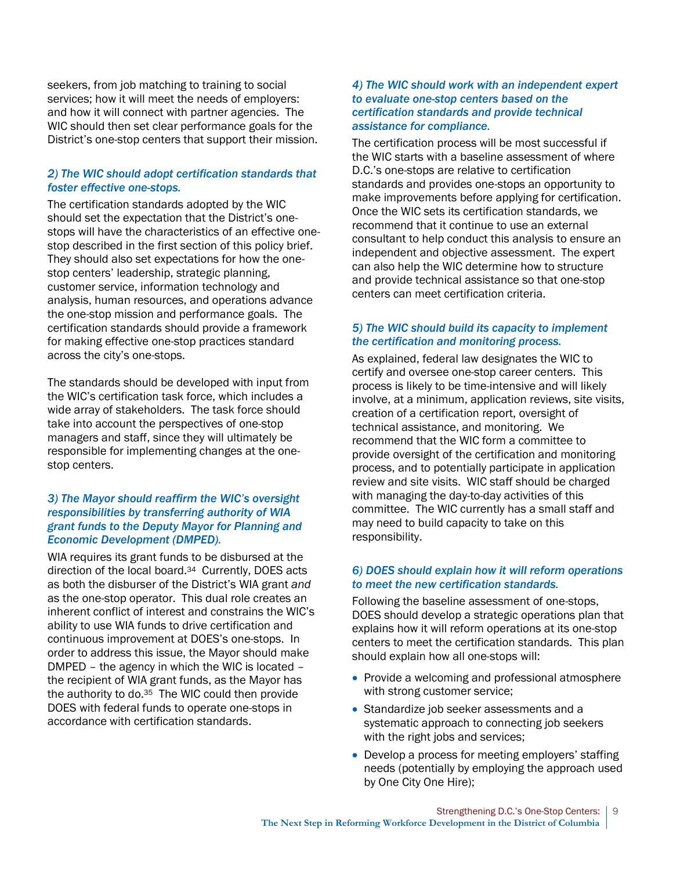seekers, from job matching to training to social services; how it will meet the needs of employers: and how it will connect with partner agencies. The WIC should then set clear performance goals for the District's one-stop centers that support their mission.

## *2) The WIC should adopt certification standards that foster effective one-stops.*

The certification standards adopted by the WIC should set the expectation that the District's onestops will have the characteristics of an effective onestop described in the first section of this policy brief. They should also set expectations for how the onestop centers' leadership, strategic planning, customer service, information technology and analysis, human resources, and operations advance the one-stop mission and performance goals. The certification standards should provide a framework for making effective one-stop practices standard across the city's one-stops.

The standards should be developed with input from the WIC's certification task force, which includes a wide array of stakeholders. The task force should take into account the perspectives of one-stop managers and staff, since they will ultimately be responsible for implementing changes at the onestop centers.

## *3) The Mayor should reaffirm the WIC's oversight responsibilities by transferring authority of WIA grant funds to the Deputy Mayor for Planning and Economic Development (DMPED).*

WIA requires its grant funds to be disbursed at the direction of the local board.34 Currently, DOES acts as both the disburser of the District's WIA grant *and* as the one-stop operator. This dual role creates an inherent conflict of interest and constrains the WIC's ability to use WIA funds to drive certification and continuous improvement at DOES's one-stops. In order to address this issue, the Mayor should make DMPED – the agency in which the WIC is located – the recipient of WIA grant funds, as the Mayor has the authority to do.<sup>35</sup> The WIC could then provide DOES with federal funds to operate one-stops in accordance with certification standards.

## *4) The WIC should work with an independent expert to evaluate one-stop centers based on the certification standards and provide technical assistance for compliance.*

The certification process will be most successful if the WIC starts with a baseline assessment of where D.C.'s one-stops are relative to certification standards and provides one-stops an opportunity to make improvements before applying for certification. Once the WIC sets its certification standards, we recommend that it continue to use an external consultant to help conduct this analysis to ensure an independent and objective assessment. The expert can also help the WIC determine how to structure and provide technical assistance so that one-stop centers can meet certification criteria.

## *5) The WIC should build its capacity to implement the certification and monitoring process.*

As explained, federal law designates the WIC to certify and oversee one-stop career centers. This process is likely to be time-intensive and will likely involve, at a minimum, application reviews, site visits, creation of a certification report, oversight of technical assistance, and monitoring. We recommend that the WIC form a committee to provide oversight of the certification and monitoring process, and to potentially participate in application review and site visits. WIC staff should be charged with managing the day-to-day activities of this committee. The WIC currently has a small staff and may need to build capacity to take on this responsibility.

## *6) DOES should explain how it will reform operations to meet the new certification standards.*

Following the baseline assessment of one-stops, DOES should develop a strategic operations plan that explains how it will reform operations at its one-stop centers to meet the certification standards. This plan should explain how all one-stops will:

- Provide a welcoming and professional atmosphere with strong customer service;
- Standardize job seeker assessments and a systematic approach to connecting job seekers with the right jobs and services;
- Develop a process for meeting employers' staffing needs (potentially by employing the approach used by One City One Hire);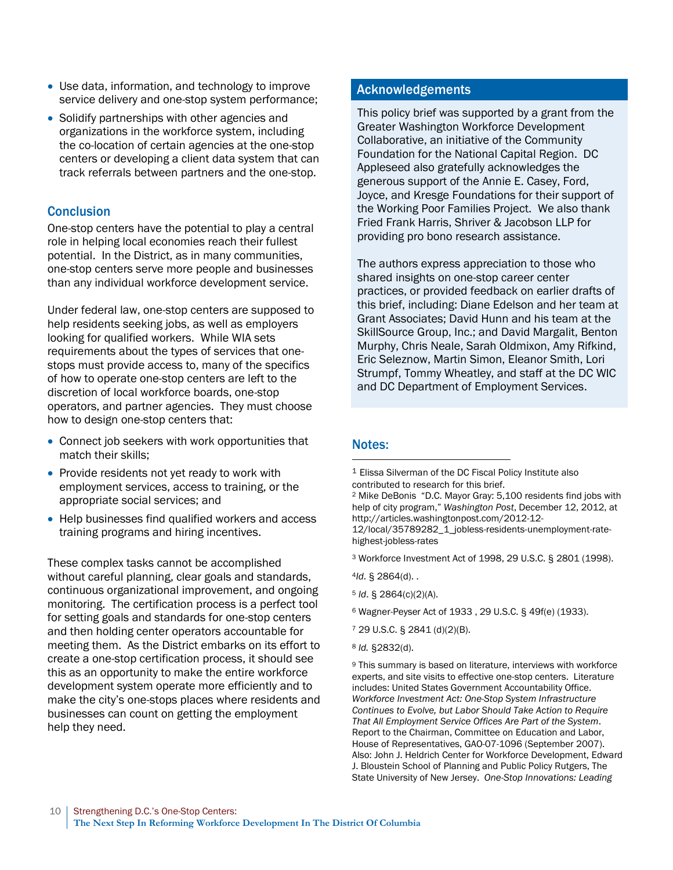- Use data, information, and technology to improve service delivery and one-stop system performance;
- Solidify partnerships with other agencies and organizations in the workforce system, including the co-location of certain agencies at the one-stop centers or developing a client data system that can track referrals between partners and the one-stop.

# **Conclusion**

One-stop centers have the potential to play a central role in helping local economies reach their fullest potential. In the District, as in many communities, one-stop centers serve more people and businesses than any individual workforce development service.

Under federal law, one-stop centers are supposed to help residents seeking jobs, as well as employers looking for qualified workers. While WIA sets requirements about the types of services that onestops must provide access to, many of the specifics of how to operate one-stop centers are left to the discretion of local workforce boards, one-stop operators, and partner agencies. They must choose how to design one-stop centers that:

- Connect job seekers with work opportunities that match their skills;
- Provide residents not yet ready to work with employment services, access to training, or the appropriate social services; and
- Help businesses find qualified workers and access training programs and hiring incentives.

These complex tasks cannot be accomplished without careful planning, clear goals and standards, continuous organizational improvement, and ongoing monitoring. The certification process is a perfect tool for setting goals and standards for one-stop centers and then holding center operators accountable for meeting them. As the District embarks on its effort to create a one-stop certification process, it should see this as an opportunity to make the entire workforce development system operate more efficiently and to make the city's one-stops places where residents and businesses can count on getting the employment help they need.

# Acknowledgements

This policy brief was supported by a grant from the Greater Washington Workforce Development Collaborative, an initiative of the Community Foundation for the National Capital Region. DC Appleseed also gratefully acknowledges the generous support of the Annie E. Casey, Ford, Joyce, and Kresge Foundations for their support of the Working Poor Families Project. We also thank Fried Frank Harris, Shriver & Jacobson LLP for providing pro bono research assistance.

The authors express appreciation to those who shared insights on one-stop career center practices, or provided feedback on earlier drafts of this brief, including: Diane Edelson and her team at Grant Associates; David Hunn and his team at the SkillSource Group, Inc.; and David Margalit, Benton Murphy, Chris Neale, Sarah Oldmixon, Amy Rifkind, Eric Seleznow, Martin Simon, Eleanor Smith, Lori Strumpf, Tommy Wheatley, and staff at the DC WIC and DC Department of Employment Services.

## Notes: l

<sup>2</sup> Mike DeBonis "D.C. Mayor Gray: 5,100 residents find jobs with help of city program," *Washington Post*, December 12, 2012, at http://articles.washingtonpost.com/2012-12-

12/local/35789282\_1\_jobless-residents-unemployment-ratehighest-jobless-rates

- <sup>3</sup> Workforce Investment Act of 1998, 29 U.S.C. § 2801 (1998).
- <sup>4</sup>*Id*. § 2864(d). .
- <sup>5</sup> *Id*. § 2864(c)(2)(A).
- <sup>6</sup> Wagner-Peyser Act of 1933 , 29 U.S.C. § 49f(e) (1933).
- <sup>7</sup> 29 U.S.C. § 2841 (d)(2)(B).
- <sup>8</sup> *Id.* §2832(d).

<sup>9</sup> This summary is based on literature, interviews with workforce experts, and site visits to effective one-stop centers. Literature includes: United States Government Accountability Office. *Workforce Investment Act: One-Stop System Infrastructure Continues to Evolve, but Labor Should Take Action to Require That All Employment Service Offices Are Part of the System*. Report to the Chairman, Committee on Education and Labor, House of Representatives, GAO-07-1096 (September 2007). Also: John J. Heldrich Center for Workforce Development, Edward J. Bloustein School of Planning and Public Policy Rutgers, The State University of New Jersey. *One-Stop Innovations: Leading* 

<sup>1</sup> Elissa Silverman of the DC Fiscal Policy Institute also contributed to research for this brief.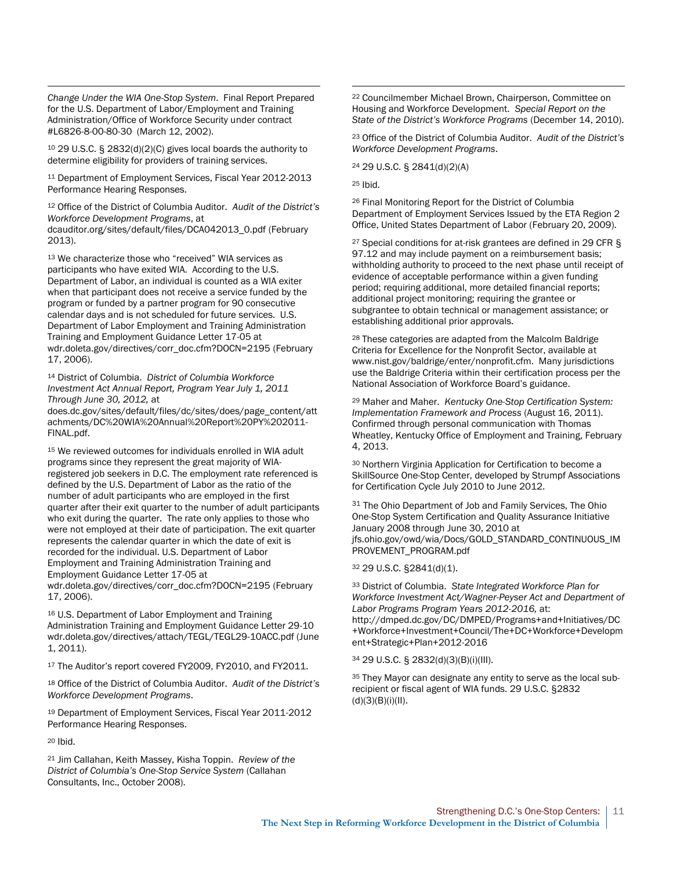*Change Under the WIA One-Stop System*. Final Report Prepared for the U.S. Department of Labor/Employment and Training Administration/Office of Workforce Security under contract #L6826-8-00-80-30 (March 12, 2002).

l

<sup>10</sup> 29 U.S.C. § 2832(d)(2)(C) gives local boards the authority to determine eligibility for providers of training services.

<sup>11</sup> Department of Employment Services, Fiscal Year 2012-2013 Performance Hearing Responses.

<sup>12</sup> Office of the District of Columbia Auditor. *Audit of the District's Workforce Development Programs*, at [dcauditor.org/sites/default/files/DCA042013\\_0.pdf](http://dcauditor.org/sites/default/files/DCA042013_0.pdf) (February 2013).

<sup>13</sup> We characterize those who "received" WIA services as participants who have exited WIA. According to the U.S. Department of Labor, an individual is counted as a WIA exiter when that participant does not receive a service funded by the program or funded by a partner program for 90 consecutive calendar days and is not scheduled for future services. U.S. Department of Labor Employment and Training Administration Training and Employment Guidance Letter 17-05 at [wdr.doleta.gov/directives/corr\\_doc.cfm?DOCN=2195](http://wdr.doleta.gov/directives/corr_doc.cfm?DOCN=2195) (February 17, 2006).

<sup>14</sup> District of Columbia. *District of Columbia Workforce Investment Act Annual Report, Program Year July 1, 2011 Through June 30, 2012,* at

[does.dc.gov/sites/default/files/dc/sites/does/page\\_content/att](http://does.dc.gov/sites/default/files/dc/sites/does/page_content/attachments/DC%20WIA%20Annual%20Report%20PY%202011-FINAL.pdf) [achments/DC%20WIA%20Annual%20Report%20PY%202011-](http://does.dc.gov/sites/default/files/dc/sites/does/page_content/attachments/DC%20WIA%20Annual%20Report%20PY%202011-FINAL.pdf) [FINAL.pdf.](http://does.dc.gov/sites/default/files/dc/sites/does/page_content/attachments/DC%20WIA%20Annual%20Report%20PY%202011-FINAL.pdf) 

<sup>15</sup> We reviewed outcomes for individuals enrolled in WIA adult programs since they represent the great majority of WIAregistered job seekers in D.C. The employment rate referenced is defined by the U.S. Department of Labor as the ratio of the number of adult participants who are employed in the first quarter after their exit quarter to the number of adult participants who exit during the quarter. The rate only applies to those who were not employed at their date of participation. The exit quarter represents the calendar quarter in which the date of exit is recorded for the individual. U.S. Department of Labor Employment and Training Administration Training and Employment Guidance Letter 17-05 at [wdr.doleta.gov/directives/corr\\_doc.cfm?DOCN=2195](http://wdr.doleta.gov/directives/corr_doc.cfm?DOCN=2195) (February 17, 2006).

<sup>16</sup> U.S. Department of Labor Employment and Training Administration Training and Employment Guidance Letter 29-10 [wdr.doleta.gov/directives/attach/TEGL/TEGL29-10ACC.pdf](http://wdr.doleta.gov/directives/attach/TEGL/TEGL29-10ACC.pdf) (June 1, 2011).

<sup>17</sup> The Auditor's report covered FY2009, FY2010, and FY2011.

<sup>18</sup> Office of the District of Columbia Auditor. *Audit of the District's Workforce Development Programs*.

<sup>19</sup> Department of Employment Services, Fiscal Year 2011-2012 Performance Hearing Responses.

<sup>20</sup> Ibid.

<sup>21</sup> Jim Callahan, Keith Massey, Kisha Toppin. *Review of the District of Columbia's One-Stop Service System* (Callahan Consultants, Inc., October 2008).

<sup>22</sup> Councilmember Michael Brown, Chairperson, Committee on Housing and Workforce Development. *Special Report on the State of the District's Workforce Programs* (December 14, 2010).

<sup>23</sup> Office of the District of Columbia Auditor. *Audit of the District's Workforce Development Programs*.

<sup>24</sup> 29 U.S.C. § 2841(d)(2)(A)

<sup>25</sup> Ibid.

l

<sup>26</sup> Final Monitoring Report for the District of Columbia Department of Employment Services Issued by the ETA Region 2 Office, United States Department of Labor (February 20, 2009).

<sup>27</sup> Special conditions for at-risk grantees are defined in 29 CFR § 97.12 and may include payment on a reimbursement basis; withholding authority to proceed to the next phase until receipt of evidence of acceptable performance within a given funding period; requiring additional, more detailed financial reports; additional project monitoring; requiring the grantee or subgrantee to obtain technical or management assistance; or establishing additional prior approvals.

<sup>28</sup> These categories are adapted from the Malcolm Baldrige Criteria for Excellence for the Nonprofit Sector, available at www.nist.gov/baldrige/enter/nonprofit.cfm. Many jurisdictions use the Baldrige Criteria within their certification process per the National Association of Workforce Board's guidance.

<sup>29</sup> Maher and Maher. *Kentucky One-Stop Certification System: Implementation Framework and Process* (August 16, 2011). Confirmed through personal communication with Thomas Wheatley, Kentucky Office of Employment and Training, February 4, 2013.

<sup>30</sup> Northern Virginia Application for Certification to become a SkillSource One-Stop Center, developed by Strumpf Associations for Certification Cycle July 2010 to June 2012.

<sup>31</sup> The Ohio Department of Job and Family Services, The Ohio [One-Stop System Certification and Quality](http://jfs.ohio.gov/owd/wia/Docs/GOLD_STANDARD_CONTINUOUS_IMPROVEMENT_PROGRAM.pdf) Assurance Initiative [January 2008 through June 30, 2010 at](http://jfs.ohio.gov/owd/wia/Docs/GOLD_STANDARD_CONTINUOUS_IMPROVEMENT_PROGRAM.pdf)  [jfs.ohio.gov/owd/wia/Docs/GOLD\\_STANDARD\\_CONTINUOUS\\_IM](http://jfs.ohio.gov/owd/wia/Docs/GOLD_STANDARD_CONTINUOUS_IMPROVEMENT_PROGRAM.pdf) [PROVEMENT\\_PROGRAM.pdf](http://jfs.ohio.gov/owd/wia/Docs/GOLD_STANDARD_CONTINUOUS_IMPROVEMENT_PROGRAM.pdf)

<sup>32</sup> 29 U.S.C. §2841(d)(1).

<sup>33</sup> District of Columbia. *State Integrated Workforce Plan for Workforce Investment Act/Wagner-Peyser Act and Department of Labor Programs Program Years 2012-2016,* at: [http://dmped.dc.gov/DC/DMPED/Programs+and+Initiatives/DC](http://dmped.dc.gov/DC/DMPED/Programs+and+Initiatives/DC+Workforce+Investment+Council/The+DC+Workforce+Development+Strategic+Plan+2012-2016) [+Workforce+Investment+Council/The+DC+Workforce+Developm](http://dmped.dc.gov/DC/DMPED/Programs+and+Initiatives/DC+Workforce+Investment+Council/The+DC+Workforce+Development+Strategic+Plan+2012-2016) [ent+Strategic+Plan+2012-2016](http://dmped.dc.gov/DC/DMPED/Programs+and+Initiatives/DC+Workforce+Investment+Council/The+DC+Workforce+Development+Strategic+Plan+2012-2016)

<sup>34</sup> 29 U.S.C. § 2832(d)(3)(B)(i)(III).

35 They Mayor can designate any entity to serve as the local subrecipient or fiscal agent of WIA funds. 29 U.S.C. §2832 (d)(3)(B)(i)(II).